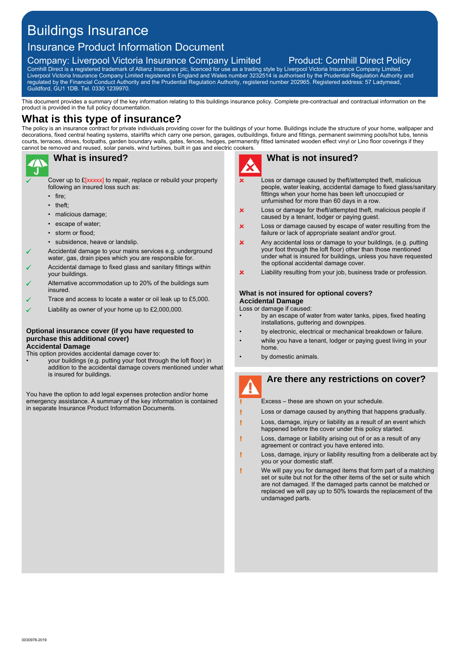# Buildings Insurance

# Insurance Product Information Document

# Company: Liverpool Victoria Insurance Company Limited Product: Cornhill Direct Policy

Cornhill Direct is a registered trademark of Allianz Insurance plc, licenced for use as a trading style by Liverpool Victoria Insurance Company Limited. Liverpool Victoria Insurance Company Limited registered in England and Wales number 3232514 is authorised by the Prudential Regulation Authority and regulated by the Financial Conduct Authority and the Prudential Regulation Authority, registered number 202965. Registered address: 57 Ladymead, Guildford, GU1 1DB. Tel. 0330 1239970.

This document provides a summary of the key information relating to this buildings insurance policy. Complete pre-contractual and contractual information on the product is provided in the full policy documentation.

## **What is this type of insurance?**

The policy is an insurance contract for private individuals providing cover for the buildings of your home. Buildings include the structure of your home, wallpaper and decorations, fixed central heating systems, stairlifts which carry one person, garages, outbuildings, fixture and fittings, permanent swimming pools/hot tubs, tennis courts, terraces, drives, footpaths, garden boundary walls, gates, fences, hedges, permanently fitted laminated wooden effect vinyl or Lino floor coverings if they cannot be removed and reused, solar panels, wind turbines, built in gas and electric cookers.



### **What is insured?**

Cover up to £[xxxxx] to repair, replace or rebuild your property following an insured loss such as:

- fire;
- theft:
- malicious damage;
- escape of water;
- storm or flood;
- subsidence, heave or landslip.
- Accidental damage to your mains services e.g. underground water, gas, drain pipes which you are responsible for.
- Accidental damage to fixed glass and sanitary fittings within your buildings.
- Alternative accommodation up to 20% of the buildings sum insured.
- Trace and access to locate a water or oil leak up to £5,000.
- Liability as owner of your home up to £2,000,000.

### **Optional insurance cover (if you have requested to purchase this additional cover) Accidental Damage**

This option provides accidental damage cover to:

• your buildings (e.g. putting your foot through the loft floor) in addition to the accidental damage covers mentioned under what is insured for buildings.

You have the option to add legal expenses protection and/or home emergency assistance. A summary of the key information is contained in separate Insurance Product Information Documents.



## **What is not insured?**

- Loss or damage caused by theft/attempted theft, malicious people, water leaking, accidental damage to fixed glass/sanitary fittings when your home has been left unoccupied or unfurnished for more than 60 days in a row.
- Loss or damage for theft/attempted theft, malicious people if x caused by a tenant, lodger or paying guest.
- Loss or damage caused by escape of water resulting from the × failure or lack of appropriate sealant and/or grout.
- x Any accidental loss or damage to your buildings, (e.g. putting your foot through the loft floor) other than those mentioned under what is insured for buildings, unless you have requested the optional accidental damage cover.
- x Liability resulting from your job, business trade or profession.

### **What is not insured for optional covers? Accidental Damage**

Loss or damage if caused:

- by an escape of water from water tanks, pipes, fixed heating installations, guttering and downpipes.
- by electronic, electrical or mechanical breakdown or failure.
- while you have a tenant, lodger or paying guest living in your home.
- by domestic animals.

ī

# **Are there any restrictions on cover?**

Excess – these are shown on your schedule.

- Loss or damage caused by anything that happens gradually.
- Loss, damage, injury or liability as a result of an event which Ī happened before the cover under this policy started.
- Loss, damage or liability arising out of or as a result of any I agreement or contract you have entered into.
- Loss, damage, injury or liability resulting from a deliberate act by you or your domestic staff.
- r. We will pay you for damaged items that form part of a matching set or suite but not for the other items of the set or suite which are not damaged. If the damaged parts cannot be matched or replaced we will pay up to 50% towards the replacement of the undamaged parts.